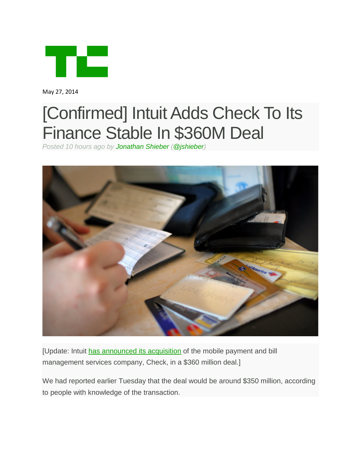

May 27, 2014

## [Confirmed] Intuit Adds Check To Its Finance Stable In \$360M Deal

*Posted 10 hours ago by [Jonathan Shieber](http://techcrunch.com/author/jonathan-shieber/) [\(@jshieber\)](https://twitter.com/jshieber)*



[Update: Intuit [has announced its acquisition](http://investors.intuit.com/press-releases/press-release-details/2014/Intuit-to-Acquire-Check/default.aspx) of the mobile payment and bill management services company, Check, in a \$360 million deal.]

We had reported earlier Tuesday that the deal would be around \$350 million, according to people with knowledge of the transaction.